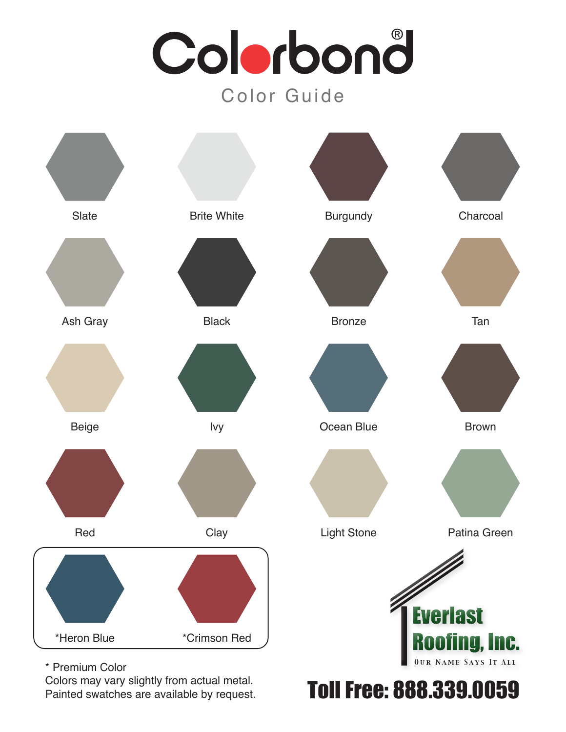# Colorbond Color Guide



*888-339-005 9 www.everlastroofing.com* Toll Free: 888.339.0059

\* Premium Color

Colors may vary slightly from actual metal. Painted swatches are available by request.